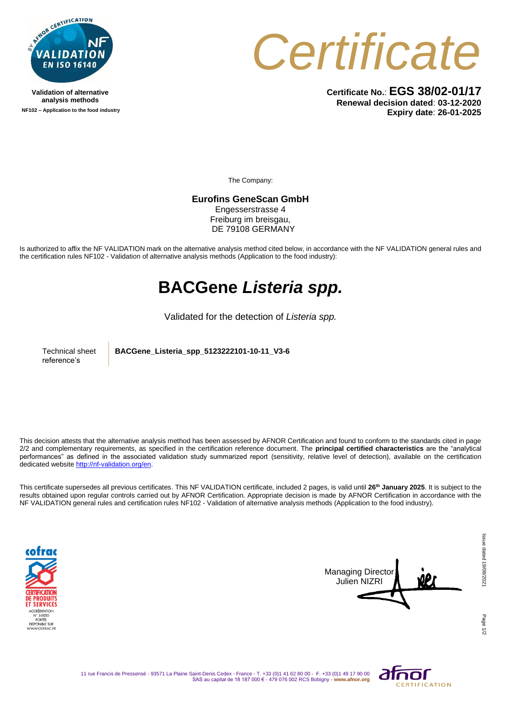

**Validation of alternative analysis methods NF102 – Application to the food industry** *Certificate*

**Certificate No.**: **EGS 38/02-01/17 Renewal decision dated**: **03-12-2020 Expiry date**: **26-01-2025**

The Company:

**Eurofins GeneScan GmbH** 

Engesserstrasse 4 Freiburg im breisgau, DE 79108 GERMANY

Is authorized to affix the NF VALIDATION mark on the alternative analysis method cited below, in accordance with the NF VALIDATION general rules and the certification rules NF102 - Validation of alternative analysis methods (Application to the food industry):

## **BACGene** *Listeria spp.*

Validated for the detection of *Listeria spp.*

Technical sheet reference's

**BACGene\_Listeria\_spp\_5123222101-10-11\_V3-6**

This decision attests that the alternative analysis method has been assessed by AFNOR Certification and found to conform to the standards cited in page 2/2 and complementary requirements, as specified in the certification reference document. The **principal certified characteristics** are the "analytical performances" as defined in the associated validation study summarized report (sensitivity, relative level of detection), available on the certification dedicated websit[e http://nf-validation.org/en.](http://nf-validation.org/en)

This certificate supersedes all previous certificates. This NF VALIDATION certificate, included 2 pages, is valid until **26th January 2025**. It is subject to the results obtained upon regular controls carried out by AFNOR Certification. Appropriate decision is made by AFNOR Certification in accordance with the NF VALIDATION general rules and certification rules NF102 - Validation of alternative analysis methods (Application to the food industry).





Page